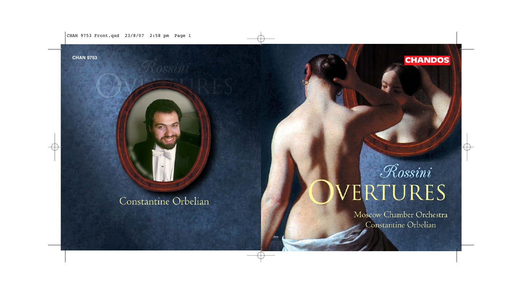CHAN 9753 Front.qxd 23/8/07 2:58 pm Page 1

Constantine Orbelian

**CHAN 9753 CHANDOS** 

# Rossini VERTURES

Moscow Chamber Orchestra Constantine Orbelian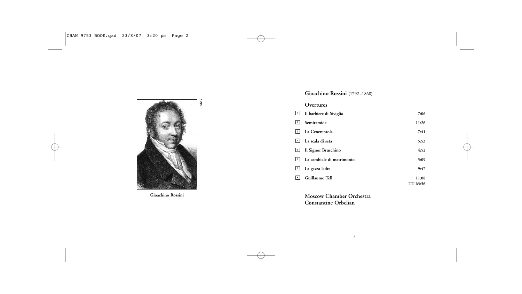

**Gioachino Rossini**

# **Gioachino Rossini** (1792–1868)

# **Overtures**

| $\boxed{1}$ | Il barbiere di Siviglia   | 7:06     |
|-------------|---------------------------|----------|
| 2           | Semiramide                | 11:26    |
| 3           | La Cenerentola            | 7:41     |
| 4           | La scala di seta          | 5:53     |
| 5           | Il Signor Bruschino       | 4:52     |
| 6           | La cambiale di matrimonio | 5:09     |
| 7           | La gazza ladra            | 9:47     |
| 8           | Guillaume Tell            | 11:08    |
|             |                           | TT 63:36 |

**Moscow Chamber Orchestra Constantine Orbelian**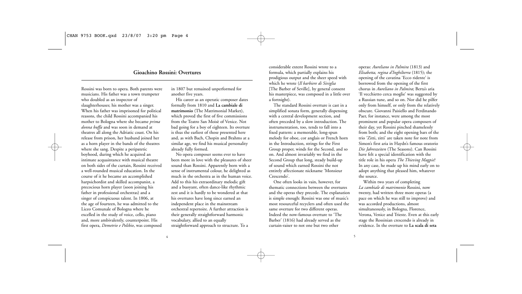# **Gioachino Rossini: Overtures**

4

Rossini was born to opera. Both parents were musicians. His father was a town trumpeter who doubled as an inspector of slaughterhouses; his mother was a singer. When his father was imprisoned for political reasons, the child Rossini accompanied his mother to Bologna where she became *prima donna buffa* and was soon in demand at theatres all along the Adriatic coast. On his release from prison, her husband joined her as a horn player in the bands of the theatres where she sang. Despite a peripatetic boyhood, during which he acquired an intimate acquaintance with musical theatre on both sides of the curtain, Rossini received a well-rounded musical education. In the course of it he became an accomplished harpsichordist and skilled accompanist, a precocious horn player (soon joining his father in professional orchestras) and a singer of conspicuous talent. In 1806, at the age of fourteen, he was admitted to the Liceo Comunale of Bologna where he excelled in the study of voice, cello, piano and, more ambivalently, counterpoint. His first opera, *Demetrio e Polibio*, was composed

in 1807 but remained unperformed for another five years.

His career as an operatic composer dates formally from 1810 and **La cambiale di matrimonio** (The Matrimonial Market), which proved the first of five commissions from the Teatro San Moisè of Venice. Not bad going for a boy of eighteen. Its overture is thus the earliest of those presented here and, as with Bach, Chopin and Brahms at a similar age, we find his musical personality already fully formed.

No opera composer seems ever to have been more in love with the pleasures of sheer sound than Rossini. Apparently born with a sense of instrumental colour, he delighted as much in the orchestra as in the human voice. Add to this his extraordinary melodic gift and a buoyant, often dance-like rhythmic zest and it is hardly to be wondered at that his overtures have long since earned an independent place in the mainstream orchestral repertoire. A further attraction is their generally straightforward harmonic vocabulary, allied to an equally straightforward approach to structure. To a

considerable extent Rossini wrote to a formula, which partially explains his prodigious output and the sheer speed with which he wrote (*Il barbiere di Siviglia* [The Barber of Seville], by general consent his masterpiece, was composed in a little over a fortnight).

The standard Rossini overture is cast in a simplified sonata form, generally dispensing with a central development section, and often preceded by a slow introduction. The instrumentation, too, tends to fall into a fixed pattern: a memorable, long-spun melody for oboe, cor anglais or French horn in the Introduction, strings for the First Group proper, winds for the Second, and so on. And almost invariably we find in the Second Group that long, steady build-up of sound which earned Rossini the not entirely affectionate nickname 'Monsieur Crescendo'.

One often looks in vain, however, for thematic connections between the overtures and the operas they precede. The explanation is simple enough: Rossini was one of music's most resourceful recyclers and often used the same overture for two different operas. Indeed the now-famous overture to 'The Barber' (1816) had already served as the curtain-raiser to not one but two other

operas: *Aureliano in Palmira* (1813) and *Elisabetta, regina d'Inghilterra* (1815); the opening of the cavatina 'Ecco ridente' is borrowed from the opening of the first chorus in *Aureliano in Palmira*; Berta's aria 'Il vecchietto cerca moglie' was suggested by a Russian tune, and so on. Nor did he pilfer only from himself, or only from the relatively obscure. Giovanni Paisiello and Ferdinando Paer, for instance, were among the most prominent and popular opera composers of their day, yet Rossini pinched shamelessly from both; and the eight opening bars of the trio 'Zitti, zitti' are taken note for note from Simon's first aria in Haydn's famous oratorio *Die Jahreszeiten* (The Seasons). Can Rossini have felt a special identification with the title role in his opera *The Thieving Magpie*? In any case, he made up his mind early on to adopt anything that pleased him, whatever the source.

Within two years of completing *La cambiale di matrimonio* Rossini, now twenty, had written three more operas (a pace on which he was still to improve) and was accorded productions, almost simultaneously, in Bologna, Florence, Verona, Venice and Trieste. Even at this early stage the Rossinian crescendo is already in evidence. In the overture to **La scala di seta**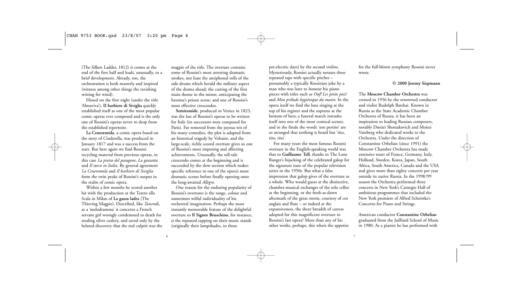(The Silken Ladder, 1812) it comes at the end of the first half and leads, unusually, to a brief development. Already, too, the orchestration is both masterly and inspired (witness among other things the ravishing writing for wind).

Hissed on the first night (under the title 'Almaviva'), **II barbiere di Siviglia** quickly established itself as one of the most popular comic operas ever composed and is the only one of Rossini's operas never to drop from the established repertoire.

**La Cenerentola**, a comic opera based on the story of Cinderella, was produced in January 1817 and was a success from the start. But here again we find Rossini recycling material from previous operas, in this case *La pietra del paragone*, *La gazzetta* and *Il turco in Italia*. By general agreement *La Cenerentola* and *Il barbiere di Siviglia* form the twin peaks of Rossini's output in the realm of comic opera.

Within a few months he scored another hit with the production at the Teatro alla Scala in Milan of **La gazza ladra** (The Thieving Magpie). Described, like *Tancredi*, as a 'melodramma' it concerns a French servant girl wrongly condemned to death for stealing silver cutlery, and saved only by the belated discovery that the real culprit was the

magpie of the title. The overture contains some of Rossini's most arresting dramatic strokes, not least the antiphonal rolls of the side drums which herald the military aspect of the drama ahead; the casting of the first main theme in the minor, anticipating the heroine's prison scene; and one of Rossini's most effective crescendos.

**Semiramide**, produced in Venice in 1823, was the last of Rossini's operas to be written for Italy (its successors were composed for Paris). Far removed from the joyous wit of his many comedies, the plot is adapted from an historical tragedy by Voltaire, and the large-scale, richly scored overture gives us one of Rossini's most imposing and affecting achievements. Unusually, the tell-tale crescendo comes at the beginning and is succeeded by the slow section which makes specific reference to one of the opera's most dramatic scenes before finally opening onto the long-awaited *Allegro*.

One reason for the enduring popularity of Rossini's overtures is the range, colour and sometimes wilful individuality of his orchestral imagination. Perhaps the most instantly memorable feature of the delightful overture to **Il Signor Bruschino**, for instance, is the repeated tapping on their music stands (originally their lampshades, in those

pre-electric days) by the second violins. Mysteriously, Rossini actually notates these repeated taps with specific pitches – presumably a typically Rossinian joke by a man who was later to honour his piano pieces with titles such as *Ouf! Les petits pois!* and *Mon prélude hygiénique du matin*. In the opera itself we find the bass singing at the top of his register and the soprano at the bottom of hers; a funeral march intrudes itself into one of the most comical scenes; and in the finale the words 'son pertito' are so arranged that nothing is heard but 'tito, tito, tito'.

For many years the most famous Rossini overture in the English-speaking world was that to **Guillaume Tell**, thanks to The Lone Ranger's hijacking of the celebrated galop for the signature tune of the popular television series in the 1950s. But what a false impression that galop gives of the overture as a whole. Who would guess at the distinctive, chamber-musical exchanges of the solo cellos at the beginning, or the fresh-as-dawn aftermath of the great storm, courtesy of cor anglais and flute – or indeed at the expansiveness, the sheer breadth of canvas adopted for this magnificent overture to Rossini's last opera? More than any of his other works, perhaps, this whets the appetite for the full-blown symphony Rossini never wrote.

#### **© 2000 Jeremy Siepmann**

The **Moscow Chamber Orchestra** was created in 1956 by the renowned conductor and violist Rudolph Barshai. Known in Russia as the State Academic Chamber Orchestra of Russia, it has been an inspiration to leading Russian composers, notably Dmitri Shostakovich and Moisei Vainberg who dedicated works to the Orchestra. Under the direction of Constantine Orbelian (since 1991) the Moscow Chamber Orchestra has made extensive tours of France, Germany, Italy, Holland, Sweden, Korea, Japan, South Africa, South America, Canada and the USA and gives more than eighty concerts per year outside its native Russia. In the 1998/99 season the Orchestra performed three concerts in New York's Carnegie Hall of ambitious programmes that included the New York premiere of Alfred Schnittke's Concerto for Piano and Strings.

American conductor **Constantine Orbelian** graduated from the Juilliard School of Music in 1980. As a pianist he has performed with

6  $\overline{\phantom{a}}$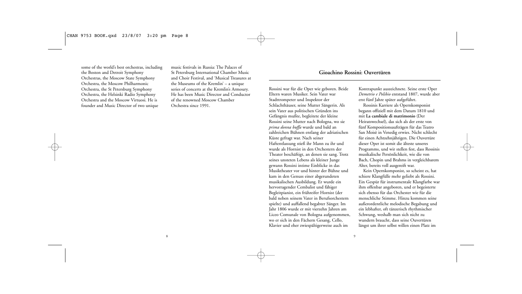some of the world's best orchestras, including the Boston and Detroit Symphony Orchestras, the Moscow State Symphony Orchestra, the Moscow Philharmonic Orchestra, the St Petersburg Symphony Orchestra, the Helsinki Radio Symphony Orchestra and the Moscow Virtuosi. He is founder and Music Director of two unique

music festivals in Russia: The Palaces of St Petersburg International Chamber Music and Choir Festival, and 'Musical Treasures at the Museums of the Kremlin' – a unique series of concerts at the Kremlin's Armoury. He has been Music Director and Conductor of the renowned Moscow Chamber Orchestra since 1991.

#### Rossini war für die Oper wie geboren. Beide Eltern waren Musiker. Sein Vater war Stadttrompeter und Inspektor der Schlachthäuser, seine Mutter Sängerin. Als sein Vater aus politischen Gründen ins Gefängnis mußte, begleitete der kleine Rossini seine Mutter nach Bologna, wo sie *prima donna buffa* wurde und bald an zahlreichen Bühnen entlang der adriatischen Küste gefragt war. Nach seiner Haftentlassung stieß ihr Mann zu ihr und wurde als Hornist in den Orchestern der Theater beschäftigt, an denen sie sang. Trotz seines unsteten Lebens als kleiner Junge gewann Rossini intime Einblicke in das Musiktheater vor und hinter der Bühne und kam in den Genuss einer abgerundeten musikalischen Ausbildung. Er wurde ein hervorragender Cembalist und fähiger Begleitpianist, ein frühreifer Hornist (der bald neben seinem Vater in Berufsorchestern spielte) und auffallend begabter Sänger. Im Jahr 1806 wurde er mit vierzehn Jahren am Liceo Comunale von Bologna aufgenommen, wo er sich in den Fächern Gesang, Cello, Klavier und eher zwiespältigerweise auch im

## **Gioachino Rossini: Ouvertüren**

Kontrapunkt auszeichnete. Seine erste Oper *Demetrio e Polibio* entstand 1807, wurde aber erst fünf Jahre später aufgeführt.

Rossinis Karriere als Opernkomponist begann offiziell mit dem Datum 1810 und mit **La cambiale di matrimonio** (Der Heiratswechsel), das sich als der erste von fünf Kompositionsaufträgen für das Teatro San Moisè in Venedig erwies. Nicht schlecht für einen Achtzehnjährigen. Die Ouvertüre dieser Oper ist somit die älteste unseres Programms, und wir stellen fest, dass Rossinis musikalische Persönlichkeit, wie die von Bach, Chopin und Brahms in vergleichbarem Alter, bereits voll ausgereift war.

Kein Opernkomponist, so scheint es, hat schiere Klangfülle mehr geliebt als Rossini. Ein Gespür für instrumentale Klangfarbe war ihm offenbar angeboren, und er begeisterte sich ebenso für das Orchester wie für die menschliche Stimme. Hinzu kommen seine außerordentliche melodische Begabung und ein lebhafter, oft tänzerisch rhythmischer Schwung, weshalb man sich nicht zu wundern braucht, dass seine Ouvertüren längst um ihrer selbst willen einen Platz im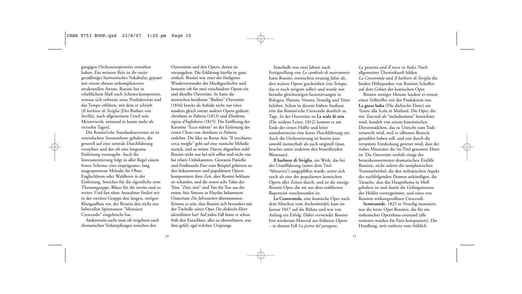gängigen Orchesterrepertoire erworben haben. Ein weiterer Reiz ist ihr meist geradliniges harmonisches Vokabular, gepaart mit einem ebenso unkomplizierten strukturellen Ansatz. Rossini hat in erheblichem Maß nach Schema komponiert, woraus sich teilweise seine Produktivität und das Tempo erklären, mit dem er schrieb (*Il barbiere di Siviglia* [Der Barbier von Sevilla], nach allgemeinem Urteil sein Meisterwerk, entstand in kaum mehr als vierzehn Tagen).

Die Rossini'sche Standardouvertüre ist in vereinfachter Sonatenform gehalten, die generell auf eine zentrale Durchführung verzichtet und der oft eine langsame Einleitung vorausgeht. Auch die Instrumentierung folgt in aller Regel einem festen Schema: eine einprägsame, lang ausgesponnene Melodie für Oboe, Englischhorn oder Waldhorn in der Einleitung, Streicher für die eigentliche erste Themengruppe, Bläser für die zweite und so weiter. Und fast ohne Ausnahme finden wir in der zweiten Gruppe den langen, stetigen Klangaufbau vor, der Rossini den nicht nur liebevollen Spitznamen "Monsieur Crescendo" eingebracht hat.

Andererseits sucht man oft vergebens nach thematischen Verknüpfungen zwischen den

Ouvertüren und den Opern, denen sie vorausgehen. Die Erklärung hierfür ist ganz einfach: Rossini war einer der findigsten Wiederverwender der Musikgeschichte und benutzte oft für zwei verschiedene Opern ein und dieselbe Ouvertüre. So hatte die inzwischen berühmte "Barbier"-Ouvertüre (1816) bereits als Auftakt nicht nur einer, sondern gleich zweier anderer Opern gedient: *Aureliano in Palmira* (1813) und *Elisabetta, regina d'Inghilterra* (1815). Die Eröffnung der Kavatine "Ecco ridente" ist der Einleitung des ersten Chors von *Aureliano in Palmira* entlehnt. Die Idee zu Bertas Arie "Il vecchietto cerca moglie" geht auf eine russische Melodie zurück, und so weiter. Davon abgesehen stahl Rossini nicht nur bei sich selbst und nicht nur bei relativ Unbekannten. Giovanni Paisiello und Ferdinando Paer zum Beispiel gehörten zu den bekanntesten und populärsten Opernkomponisten ihrer Zeit, aber Rossini beklaute sie schamlos, und die ersten acht Takte des Trios "Zitti, zitti" sind Ton für Ton aus der ersten Arie Simons in Haydns bekanntem Oratorium *Die Jahreszeiten* übernommen. Könnte es sein, dass Rossini sich besonders mit der Titelrolle seiner Oper *Die diebische Elster* identifiziert hat? Auf jeden Fall fasste er schon früh den Entschluss, alles zu übernehmen, was ihm gefiel, egal welchen Ursprungs.

Innerhalb von zwei Jahren nach Fertigstellung von *La cambiale di matrimonio* hatte Rossini, inzwischen zwanzig Jahre alt, drei weitere Opern geschrieben (ein Tempo, das er noch steigern sollte) und wurde mit beinahe gleichzeitigen Inszenierungen in Bologna, Florenz, Verona, Venedig und Triest belohnt. Schon in diesem frühen Stadium tritt das Rossini'sche Crescendo deutlich zu Tage. In der Ouvertüre zu **La scala di seta** (Die seidene Leiter, 1812) kommt es am Ende der ersten Hälfte und leitet ausnahmsweise eine kurze Durchführung ein. Auch die Orchestrierung ist bereits jetzt sowohl meisterhaft als auch originell (man beachte unter anderem den hinreißenden Bläsersatz).

**Il barbiere di Siviglia**, ein Werk, das bei der Uraufführung (unter dem Titel "Almaviva") ausgepfiffen wurde, setzte sich rasch als eine der populärsten komischen Opern aller Zeiten durch, und ist die einzige Rossini-Oper, die nie aus dem etablierten Repertoire verschwunden ist.

**La Cenerentola**, eine komische Oper nach dem Märchen vom Aschenbrödel, kam im Januar 1817 auf die Bühne und war von Anfang ein Erfolg. Dabei verwendet Rossini hier wiederum Material aus früheren Opern – in diesem Fall *La pietra del paragone*,

*La gazzetta* und *Il turco in Italia*. Nach allgemeiner Übereinkunft bilden *La Cenerentola* und *Il barbiere di Siviglia* die beiden Höhepunkte von Rossinis Schaffen auf dem Gebiet der komischen Oper.

Binnen weniger Monate landete er erneut einen Volltreffer mit der Produktion von **La gazza ladra** (Die diebische Elster) am Teatro alla Scala in Mailand. Die Oper, die wie *Tancredi* als "melodramma" bezeichnet wird, handelt von einem französischen Dienstmädchen, das zu Unrecht zum Tode verurteilt wird, weil es silbernes Besteck gestohlen haben soll, und nur durch die verspätete Entdeckung gerettet wird, dass der wahre Missetäter die im Titel genannte Elster ist. Die Ouvertüre enthält einige der bemerkenswertesten dramatischen Einfälle Rossinis, nicht zuletzt die antiphonischen Trommelwirbel, die den militärischen Aspekt des nachfolgenden Dramas ankündigen, die Tatsache, dass das Hauptthema in Moll gehalten ist und damit die Gefängnisszene der Heldin vorwegnimmt, und eines von

**Semiramide**, 1823 in Venedig inszeniert, war die letzte Oper Rossinis, die für ein italienisches Opernhaus entstand (alle weiteren wurden für Paris komponiert). Die Handlung, weit entfernt vom fröhlich

Rossinis wirkungsvollsten Crescendi.

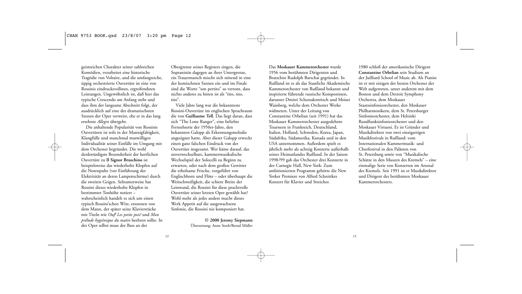geistreichen Charakter seiner zahlreichen Komödien, verarbeitet eine historische Tragödie von Voltaire, und die umfangreiche, üppig orchestrierte Ouvertüre ist eine von Rossinis eindrucksvollsten, ergreifendsten Leistungen. Ungewöhnlich ist, daß hier das typische Crescendo am Anfang steht und dass ihm der langsame Abschnitt folgt, der ausdrücklich auf eine der dramatischsten Szenen der Oper verweist, ehe er in das lang ersehnte *Allegro* übergeht.

Die anhaltende Popularität von Rossinis Ouvertüren ist teils in der Mannigfaltigkeit, Klangfülle und manchmal mutwilligen Individualität seiner Einfälle im Umgang mit dem Orchester begründet. Die wohl denkwürdigste Besonderheit der herrlichen Ouvertüre zu **Il Signor Bruschino** ist beispielsweise das wiederholte Klopfen auf die Notenpulte (vor Einführung der Elektrizität an deren Lampenschirme) durch die zweiten Geigen. Seltsamerweise hat Rossini dieses wiederholte Klopfen in bestimmter Tonhöhe notiert – wahrscheinlich handelt es sich um einen typisch Rossini'schen Witz, ersonnen von dem Mann, der später seine Klavierstücke mit Titeln wie *Ouf! Les petits pois!* und *Mon prélude hygiénique du matin* beehren sollte. In der Oper selbst muss der Bass an der

Obergrenze seines Registers singen, die Sopranistin dagegen an ihrer Untergrenze, ein Trauermarsch mischt sich störend in eine der komischsten Szenen ein und im Finale sind die Worte "son pertito" so vertont, dass nichts anderes zu hören ist als "tito, tito, tito".

Viele Jahre lang war die bekannteste Rossini-Ouvertüre im englischen Sprachraum die von **Guillaume Tell**. Das liegt daran, dass sich "The Lone Ranger", eine beliebte Fernsehserie der 1950er-Jahre, den bekannten Galopp als Erkennungsmelodie angeeignet hatte. Aber dieser Galopp erweckt einen ganz falschen Eindruck von der Ouvertüre insgesamt. Wer käme darauf, das unverwechselbare, kammermusikalische Wechselspiel der Solocelli zu Beginn zu erwarten, oder nach dem großen Gewitter die erholsame Frische, vorgeführt von Englischhorn und Flöte – oder überhaupt die Weitschweifigkeit, die schiere Breite der Leinwand, die Rossini für diese prachtvolle Ouvertüre seiner letzten Oper gewählt hat? Wohl mehr als jedes andere macht dieses Werk Appetit auf die ausgewachsene Sinfonie, die Rossini nie komponiert hat.

> **© 2000 Jeremy Siepmann** Übersetzung: Anne Steeb/Bernd Müller

Das **Moskauer Kammerorchester** wurde 1956 vom berühmten Dirigenten und Bratschist Rudolph Barschai gegründet. In Rußland ist es als das Staatliche Akademische Kammerorchester von Rußland bekannt und inspirierte führende russische Komponisten, darunter Dmitri Schostakowitsch und Moisei Wainberg, welche dem Orchester Werke widmeten. Unter der Leitung von Constantine Orbelian (seit 1991) hat das Moskauer Kammerorchester ausgedehnte Tourneen in Frankreich, Deutschland, Italien, Holland, Schweden, Korea, Japan, Südafrika, Südamerika, Kanada und in den USA unternommen. Außerdem spielt es jährlich mehr als achtzig Konzerte außerhalb seines Heimatlandes Rußland. In der Saison 1998/99 gab das Orchester drei Konzerte in der Carnegie Hall, New York: Zum ambitionierten Programm gehörte die New Yorker Premiere von Alfred Schnittkes Konzert für Klavier und Streicher.

1980 schloß der amerikanische Dirigent **Constantine Orbelian** sein Studium an der Juilliard School of Music ab. Als Pianist ist er mit einigen der besten Orchester der Welt aufgetreten, unter anderem mit dem Boston und dem Detroit Symphony Orchestra, dem Moskauer Staatssinfonieorchester, den Moskauer Philharmonikern, dem St. Petersburger Sinfonieorchester, dem Helsinki Rundfunksinfonieorchester und den Moskauer Virtuosi. Er ist Gründer und Musikdirektor von zwei einzigartigen Musikfestivals in Rußland: vom Internationalen Kammermusik- und Chorfestival in den Palästen von St. Petersburg sowie von "Musikalische Schätze in den Museen des Kremels" – eine einmalige Serie von Konzerten im Arsenal des Kremels. Seit 1991 ist er Musikdirektor und Dirigent des berühmten Moskauer Kammerorchesters.

12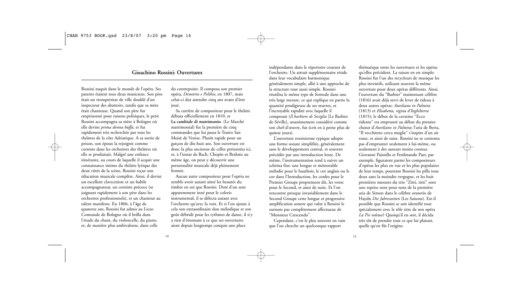### **Gioachino Rossini: Ouvertures**

Rossini naquit dans le monde de l'opéra. Ses parents étaient tous deux musiciens. Son père était un trompettiste de ville doublé d'un inspecteur des abattoirs, tandis que sa mère était chanteuse. Quand son père fut emprisonné pour raisons politiques, le petit Rossini accompagna sa mère à Bologne où elle devint *prima donna buffa*, et fut rapidement très recherchée par tous les théâtres de la côte Adriatique. A sa sortie de prison, son époux la rejoignit comme corniste dans les orchestres des théâtres où elle se produisait. Malgré une enfance itinérante, au cours de laquelle il acquit une connaissance intime du théâtre lyrique des deux côtés de la scène, Rossini reçut une éducation musicale complète. Ainsi, il devint un excellent claveciniste et un habile accompagnateur, un corniste précoce (se joignant rapidement à son père dans les orchestres professionnels), et un chanteur au talent manifeste. En 1806, à l'âge de quatorze ans, Rossini fut admis au Liceo Comunale de Bologne où il brilla dans l'étude du chant, du violoncelle, du piano, et, de manière plus ambivalente, dans celle

du contrepoint. Il composa son premier opéra, *Demetrio e Polibio*, en 1807, mais celui-ci dut attendre cinq ans avant d'être joué.

Sa carrière de compositeur pour le théâtre débuta officiellement en 1810, et **La cambiale di matrimonio** (Le Marché matrimonial) fut la première de cinq commandes que lui passa le Teatro San Moisè de Venise. Plutôt rapide pour un garçon de dix-huit ans. Son ouverture est donc la plus ancienne de celles présentées ici, et, à l'instar de Bach, Chopin et Brahms au même âge, on peut y découvrir une personnalité musicale déjà pleinement formée.

Aucun autre compositeur pour l'opéra ne semble avoir autant aimé les beautés du timbre en soi que Rossini. Doté d'un sens apparemment inné pour le coloris instrumental, il se délecta autant avec l'orchestre qu'avec la voix. Et si l'on ajoute à cela son extraordinaire don mélodique et son goût débridé pour les rythmes de danse, il n'y a rien d'étonnant à ce que ses ouvertures aient depuis longtemps conquis une place

indépendante dans le répertoire courant de l'orchestre. Un attrait supplémentaire réside dans leur vocabulaire harmonique généralement simple, allié à une approche de la structure tout aussi simple. Rossini réutilisa le même type de formule dans une très large mesure, ce qui explique en partie la quantité prodigieuse de ses œuvres, et l'incroyable rapidité avec laquelle il composait (*Il barbiere di Siviglia* [Le Barbier de Séville], unanimement considéré comme son chef-d'œuvre, fut écrit en à peine plus de quinze jours).

L'ouverture rossinienne typique adopte une forme sonate simplifiée, généralement sans le développement central, et souvent précédée par une introduction lente. De même, l'instrumentation tend à suivre un schéma fixe: une longue et mémorable mélodie pour le hautbois, le cor anglais ou le cor dans l'Introduction, les cordes pour le Premier Groupe proprement dit, les vents pour le Second, et ainsi de suite. Et l'on rencontre presque invariablement dans le Second Groupe cette longue et progressive amplification sonore qui valut à Rossini le surnom pas complètement affectueux de "Monsieur Crescendo".

Cependant, c'est le plus souvent en vain que l'on cherche un quelconque rapport

thématique entre les ouvertures et les opéras qu'elles précèdent. La raison en est simple: Rossini fut l'un des recycleurs de musique les plus inventifs, utilisant souvent la même ouverture pour deux opéras différents. Ainsi, l'ouverture du "Barbier" maintenant célèbre (1816) avait déjà servi de lever de rideau à deux autres opéras: *Aureliano in Palmira* (1813) et *Elisabetta, regina d'Inghilterra* (1815); le début de la cavatine "Ecco ridente" est emprunté au début du premier chœur d'*Aureliano in Palmira*; l'aria de Berta, "Il vecchietto cerca moglie" s'inspire d'un air russe, et ainsi de suite. Rossini ne se contenta pas d'emprunter seulement à lui-même, ou seulement à des auteurs moins connus. Giovanni Paisiello et Ferdinando Paer, par exemple, figuraient parmi les compositeurs d'opéras les plus en vue et les plus populaires de leur temps, pourtant Rossini les pilla tous deux sans la moindre vergogne, et les huit premières mesures du trio "Zitti, zitti" sont une reprise note pour note de la première aria de Simon dans le célèbre oratorio de Haydn *Die Jahreszeiten* (Les Saisons). Est-il possible que Rossini se soit identifié tout spécialement avec le rôle titre de son opéra *La Pie voleuse*? Quoiqu'il en soit, il décida

très tôt de prendre tout ce qui lui plaisait, quelle qu'en fût l'origine.

15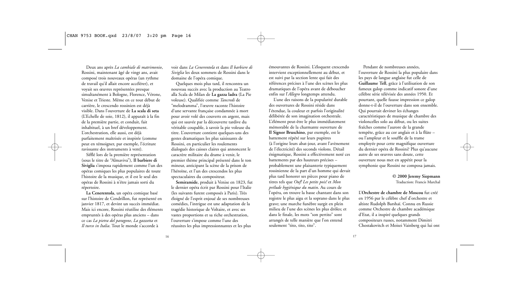Deux ans après *La cambiale di matrimonio*, Rossini, maintenant âgé de vingt ans, avait composé trois nouveaux opéras (un rythme de travail qu'il allait encore accélérer), et voyait ses œuvres représentées presque simultanément à Bologne, Florence, Vérone, Venise et Trieste. Même en ce tout début de carrière, le crescendo rossinien est déjà visible. Dans l'ouverture de **La scala di seta** (L'Echelle de soie, 1812), il apparaît à la fin de la première partie, et conduit, fait inhabituel, à un bref développement. L'orchestration, elle aussi, est déjà parfaitement maîtrisée et inspirée (comme peut en témoigner, par exemple, l'écriture ravissante des instruments à vent).

Sifflé lors de la première représentation (sous le titre de "Almaviva"), **Il barbiere di Siviglia** s'imposa rapidement comme l'un des opéras comiques les plus populaires de toute l'histoire de la musique, et il est le seul des opéras de Rossini à n'être jamais sorti du répertoire.

**La Cenerentola**, un opéra comique basé sur l'histoire de Cendrillon, fut représenté en janvier 1817, et devint un succès immédiat. Mais ici encore, Rossini réutilise des éléments empruntés à des opéras plus anciens – dans ce cas *La pietra del paragone*, *La gazzetta* et *Il turco in Italia*. Tout le monde s'accorde à

voir dans *La Cenerentola* et dans *Il barbiere di Siviglia* les deux sommets de Rossini dans le domaine de l'opéra comique.

Quelques mois plus tard, il rencontra un nouveau succès avec la production au Teatro alla Scala de Milan de **La gazza ladra** (La Pie voleuse). Qualifiée comme *Tancredi* de "melodramma", l'œuvre raconte l'histoire d'une servante française condamnée à mort pour avoir volé des couverts en argent, mais qui est sauvée par la découverte tardive du véritable coupable, à savoir la pie voleuse du titre. L'ouverture contient quelques-uns des gestes dramatiques les plus saisissants de Rossini, en particulier les roulements dialogués des caisses claires qui annoncent le caractère militaire du drame à venir, le premier thème principal présenté dans le ton mineur, anticipant la scène de la prison de l'héroïne, et l'un des crescendos les plus spectaculaires du compositeur.

**Semiramide**, produit à Venise en 1823, fut le dernier opéra écrit par Rossini pour l'Italie (les suivants furent composés à Paris). Très éloigné de l'esprit enjoué de ses nombreuses comédies, l'intrigue est une adaptation de la tragédie historique de Voltaire, et avec ses vastes proportions et sa riche orchestration, l'ouverture s'impose comme l'une des réussites les plus impressionnantes et les plus

émouvantes de Rossini. L'éloquent crescendo intervient exceptionnellement au début, et est suivi par la section lente qui fait des références précises à l'une des scènes les plus dramatiques de l'opéra avant de déboucher enfin sur l'*Allegro* longtemps attendu.

L'une des raisons de la popularité durable des ouvertures de Rossini réside dans l'étendue, la couleur et parfois l'originalité délibérée de son imagination orchestrale. L'élément peut-être le plus immédiatement mémorable de la charmante ouverture de **Il Signor Bruschino**, par exemple, est le battement répété sur leurs pupitres (à l'origine leurs abat-jour, avant l'avènement de l'électricité) des seconds violons. Détail énigmatique, Rossini a effectivement noté ces battements par des hauteurs précises – probablement une plaisanterie typiquement rossinienne de la part d'un homme qui devait plus tard honorer ses pièces pour piano de titres tels que *Ouf! Les petits pois!* et *Mon prélude hygiénique du matin*. Au cours de l'opéra, on trouve la basse chantant dans son registre le plus aigu et la soprano dans le plus grave; une marche funèbre surgit en plein milieu de l'une des scènes les plus drôles; et dans le finale, les mots "son pertito" sont arrangés de telle manière que l'on entend seulement "tito, tito, tito".

Pendant de nombreuses années, l'ouverture de Rossini la plus populaire dans les pays de langue anglaise fut celle de **Guillaume Tell**, grâce à l'utilisation de son fameux galop comme indicatif sonore d'une célèbre série télévisée des années 1950. Et pourtant, quelle fausse impression ce galop donne-t-il de l'ouverture dans son ensemble. Qui pourrait deviner les échanges caractéristiques de musique de chambre des violoncelles solo au début, ou les suites fraîches comme l'aurore de la grande tempête, grâce au cor anglais et à la flûte – ou l'ampleur et le souffle de la trame employée pour cette magnifique ouverture du dernier opéra de Rossini? Plus qu'aucune autre de ses œuvres sans doute, cette ouverture nous met en appétit pour la symphonie que Rossini ne composa jamais.

> **© 2000 Jeremy Siepmann** Traduction: Francis Marchal

L'**Orchestre de chambre de Moscou** fut créé en 1956 par le célèbre chef d'orchestre et altiste Rudolph Barshaï. Connu en Russie comme Orchestre de chambre académique d'Etat, il a inspiré quelques grands compositeurs russes, notamment Dimitri Chostakovitch et Moisei Vainberg qui lui ont

16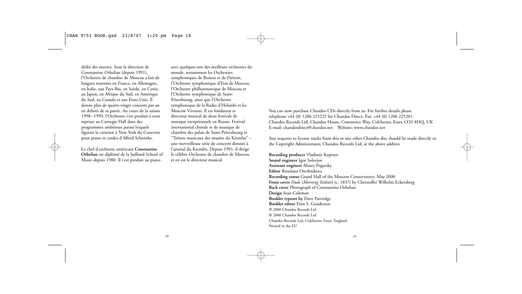dédié des œuvres. Sous la direction de Constantine Orbelian (depuis 1991), l'Orchestre de chambre de Moscou a fait de longues tournées en France, en Allemagne, en Italie, aux Pays-Bas, en Suède, en Corée, au Japon, en Afrique du Sud, en Amérique du Sud, au Canada et aux Etats-Unis. Il donne plus de quatre-vingts concerts par an en dehors de sa patrie. Au cours de la saison 1998–1999, l'Orchestre s'est produit à trois reprises au Carnegie Hall dans des programmes ambitieux parmi lesquels figurait la création à New York du Concerto pour piano et cordes d'Alfred Schnittke.

Le chef d'orchestre américain **Constantine Orbelian** est diplômé de la Juilliard School of Music depuis 1980. Il s'est produit au piano

avec quelques-uns des meilleurs orchestres du monde, notamment les Orchestres symphoniques de Boston et de Détroit, l'Orchestre symphonique d'Etat de Moscou, l'Orchestre philharmonique de Moscou et l'Orchestre symphonique de Saint-Pétersbourg, ainsi que l'Orchestre symphonique de la Radio d'Helsinki et les Moscow Virtuosi. Il est fondateur et directeur musical de deux festivals de musique exceptionnels en Russie: Festival international chorale et de musique de chambre des palais de Saint-Pétersbourg et "Trésors musicaux des musées du Kremlin" – une merveilleuse série de concerts donnés à l'arsenal du Kremlin. Depuis 1991, il dirige le célèbre Orchestre de chambre de Moscou et en est le directeur musical.

You can now purchase Chandos CDs directly from us. For further details please telephone +44 (0) 1206 225225 for Chandos Direct. Fax: +44 (0) 1206 225201. Chandos Records Ltd, Chandos House, Commerce Way, Colchester, Essex CO2 8HQ, UK E-mail: chandosdirect@chandos.net Website: www.chandos.net

Any requests to license tracks from this or any other Chandos disc should be made directly to the Copyright Administrator, Chandos Records Ltd, at the above address.

**Recording producer** Vladimir Koptzov **Sound engineer** Igor Solovjov **Assistant engineer** Alexey Pogarsky **Editor** Rouslana Oreshnikova **Recording venue** Grand Hall of the Moscow Conservatory; May 2000 **Front cover** *Nude* (*Morning Toilette*) (c. 1837) by Christoffer Wilhelm Eckersberg **Back cover** Photograph of Constantine Orbelian **Design** Sean Coleman **Booklet typeset by** Dave Partridge **Booklet editor** Finn S. Gundersen P 2000 Chandos Records Ltd C 2000 Chandos Records Ltd Chandos Records Ltd, Colchester, Essex, England Printed in the EU

18